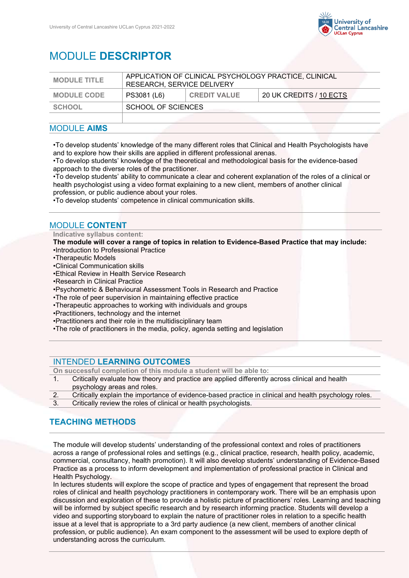

# MODULE **DESCRIPTOR**

| <b>MODULE TITLE</b> | APPLICATION OF CLINICAL PSYCHOLOGY PRACTICE, CLINICAL<br>RESEARCH, SERVICE DELIVERY |                     |                         |
|---------------------|-------------------------------------------------------------------------------------|---------------------|-------------------------|
| <b>MODULE CODE</b>  | PS3081 (L6)                                                                         | <b>CREDIT VALUE</b> | 20 UK CREDITS / 10 ECTS |
| <b>SCHOOL</b>       | SCHOOL OF SCIENCES                                                                  |                     |                         |
|                     |                                                                                     |                     |                         |

### MODULE **AIMS**

•To develop students' knowledge of the many different roles that Clinical and Health Psychologists have and to explore how their skills are applied in different professional arenas.

•To develop students' knowledge of the theoretical and methodological basis for the evidence-based approach to the diverse roles of the practitioner.

•To develop students' ability to communicate a clear and coherent explanation of the roles of a clinical or health psychologist using a video format explaining to a new client, members of another clinical profession, or public audience about your roles.

•To develop students' competence in clinical communication skills.

## MODULE **CONTENT**

**Indicative syllabus content:**

**The module will cover a range of topics in relation to Evidence-Based Practice that may include:**  •Introduction to Professional Practice

- •Therapeutic Models
- •Clinical Communication skills
- •Ethical Review in Health Service Research
- •Research in Clinical Practice
- •Psychometric & Behavioural Assessment Tools in Research and Practice
- •The role of peer supervision in maintaining effective practice
- •Therapeutic approaches to working with individuals and groups
- •Practitioners, technology and the internet
- •Practitioners and their role in the multidisciplinary team
- •The role of practitioners in the media, policy, agenda setting and legislation

#### INTENDED **LEARNING OUTCOMES**

**On successful completion of this module a student will be able to:**

- 1. Critically evaluate how theory and practice are applied differently across clinical and health psychology areas and roles.
- 2. Critically explain the importance of evidence-based practice in clinical and health psychology roles.
- 3. Critically review the roles of clinical or health psychologists.

# **TEACHING METHODS**

The module will develop students' understanding of the professional context and roles of practitioners across a range of professional roles and settings (e.g., clinical practice, research, health policy, academic, commercial, consultancy, health promotion). It will also develop students' understanding of Evidence-Based Practice as a process to inform development and implementation of professional practice in Clinical and Health Psychology.

In lectures students will explore the scope of practice and types of engagement that represent the broad roles of clinical and health psychology practitioners in contemporary work. There will be an emphasis upon discussion and exploration of these to provide a holistic picture of practitioners' roles. Learning and teaching will be informed by subject specific research and by research informing practice. Students will develop a video and supporting storyboard to explain the nature of practitioner roles in relation to a specific health issue at a level that is appropriate to a 3rd party audience (a new client, members of another clinical profession, or public audience). An exam component to the assessment will be used to explore depth of understanding across the curriculum.